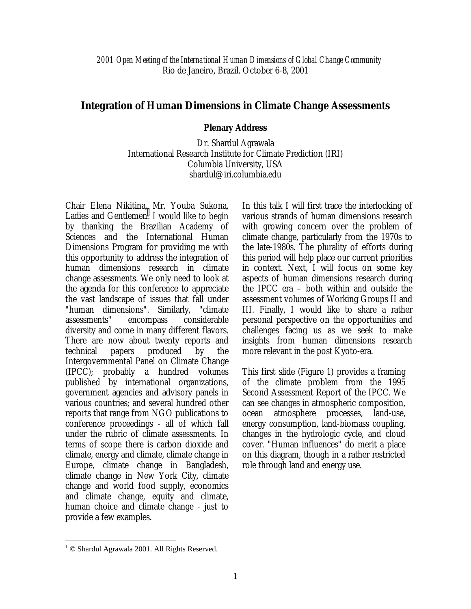*2001 Open Meeting of the International Human Dimensions of Global Change Community*  Rio de Janeiro, Brazil. October 6-8, 2001

## **Integration of Human Dimensions in Climate Change Assessments**

## **Plenary Address**

Dr. Shardul Agrawala International Research Institute for Climate Prediction (IRI) Columbia University, USA shardul@iri.columbia.edu

Chair Elena Nikitina, Mr. Youba Sukona, Ladies and Gentlemen. I would like to begin by thanking the Brazilian Academy of Sciences and the International Human Dimensions Program for providing me with this opportunity to address the integration of human dimensions research in climate change assessments. We only need to look at the agenda for this conference to appreciate the vast landscape of issues that fall under "human dimensions". Similarly, "climate assessments" encompass considerable diversity and come in many different flavors. There are now about twenty reports and technical papers produced by the Intergovernmental Panel on Climate Change (IPCC); probably a hundred volumes published by international organizations, government agencies and advisory panels in various countries; and several hundred other reports that range from NGO publications to conference proceedings - all of which fall under the rubric of climate assessments. In terms of scope there is carbon dioxide and climate, energy and climate, climate change in Europe, climate change in Bangladesh, climate change in New York City, climate change and world food supply, economics and climate change, equity and climate, human choice and climate change - just to provide a few examples.

In this talk I will first trace the interlocking of various strands of human dimensions research with growing concern over the problem of climate change, particularly from the 1970s to the late-1980s. The plurality of efforts during this period will help place our current priorities in context. Next, I will focus on some key aspects of human dimensions research during the IPCC era – both within and outside the assessment volumes of Working Groups II and III. Finally, I would like to share a rather personal perspective on the opportunities and challenges facing us as we seek to make insights from human dimensions research more relevant in the post Kyoto-era.

This first slide (Figure 1) provides a framing of the climate problem from the 1995 Second Assessment Report of the IPCC. We can see changes in atmospheric composition, ocean atmosphere processes, land-use, energy consumption, land-biomass coupling, changes in the hydrologic cycle, and cloud cover. "Human influences" do merit a place on this diagram, though in a rather restricted role through land and energy use.

1

<sup>&</sup>lt;sup>1</sup> © Shardul Agrawala 2001. All Rights Reserved.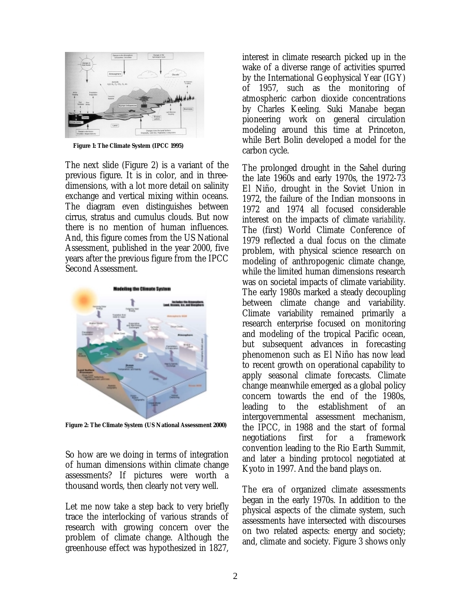

**Figure 1: The Climate System (IPCC 1995)** 

The next slide (Figure 2) is a variant of the previous figure. It is in color, and in threedimensions, with a lot more detail on salinity exchange and vertical mixing within oceans. The diagram even distinguishes between cirrus, stratus and cumulus clouds. But now there is no mention of human influences. And, this figure comes from the US National Assessment, published in the year 2000, five years after the previous figure from the IPCC Second Assessment.



**Figure 2: The Climate System (US National Assessment 2000)** 

So how are we doing in terms of integration of human dimensions within climate change assessments? If pictures were worth a thousand words, then clearly not very well.

Let me now take a step back to very briefly trace the interlocking of various strands of research with growing concern over the problem of climate change. Although the greenhouse effect was hypothesized in 1827,

interest in climate research picked up in the wake of a diverse range of activities spurred by the International Geophysical Year (IGY) of 1957, such as the monitoring of atmospheric carbon dioxide concentrations by Charles Keeling. Suki Manabe began pioneering work on general circulation modeling around this time at Princeton, while Bert Bolin developed a model for the carbon cycle.

The prolonged drought in the Sahel during the late 1960s and early 1970s, the 1972-73 El Niño, drought in the Soviet Union in 1972, the failure of the Indian monsoons in 1972 and 1974 all focused considerable interest on the impacts of climate *variability*. The (first) World Climate Conference of 1979 reflected a dual focus on the climate problem, with physical science research on modeling of anthropogenic climate change, while the limited human dimensions research was on societal impacts of climate variability. The early 1980s marked a steady decoupling between climate change and variability. Climate variability remained primarily a research enterprise focused on monitoring and modeling of the tropical Pacific ocean, but subsequent advances in forecasting phenomenon such as El Niño has now lead to recent growth on operational capability to apply seasonal climate forecasts. Climate change meanwhile emerged as a global policy concern towards the end of the 1980s, leading to the establishment of an intergovernmental assessment mechanism, the IPCC, in 1988 and the start of formal negotiations first for a framework convention leading to the Rio Earth Summit, and later a binding protocol negotiated at Kyoto in 1997. And the band plays on.

The era of organized climate assessments began in the early 1970s. In addition to the physical aspects of the climate system, such assessments have intersected with discourses on two related aspects: energy and society; and, climate and society. Figure 3 shows only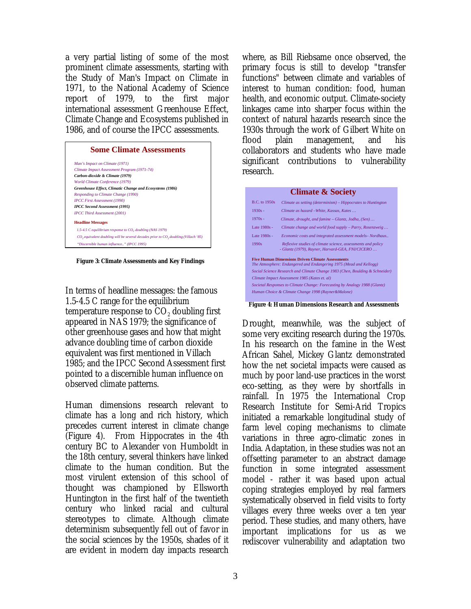a very partial listing of some of the most prominent climate assessments, starting with the Study of Man's Impact on Climate in 1971, to the National Academy of Science report of 1979, to the first major international assessment Greenhouse Effect, Climate Change and Ecosystems published in 1986, and of course the IPCC assessments.

| <b>Some Climate Assessments</b>                                                     |  |  |  |  |
|-------------------------------------------------------------------------------------|--|--|--|--|
| Man's Impact on Climate (1971)                                                      |  |  |  |  |
| Climate Impact Assessment Program (1971-74)                                         |  |  |  |  |
| Carbon-dioxide & Climate (1979)                                                     |  |  |  |  |
| World Climate Conference (1979)                                                     |  |  |  |  |
| Greenhouse Effect, Climatic Change and Ecosystems (1986)                            |  |  |  |  |
| Responding to Climate Change (1990)                                                 |  |  |  |  |
| <b>IPCC First Assessment (1990)</b>                                                 |  |  |  |  |
| <b>IPCC Second Assessment (1995)</b>                                                |  |  |  |  |
| <b>IPCC Third Assessment (2001)</b>                                                 |  |  |  |  |
| <b>Headline Messages</b>                                                            |  |  |  |  |
| 1.5-4.5 C equilibrium response to CO, doubling (NAS 1979)                           |  |  |  |  |
| CO, equivalent doubling will be several decades prior to CO, doubling (Villach '85) |  |  |  |  |
| "Discernible human influence" (IPCC 1995)                                           |  |  |  |  |

 **Figure 3: Climate Assessments and Key Findings**

In terms of headline messages: the famous 1.5-4.5 C range for the equilibrium temperature response to  $CO<sub>2</sub>$  doubling first appeared in NAS 1979; the significance of other greenhouse gases and how that might advance doubling time of carbon dioxide equivalent was first mentioned in Villach 1985; and the IPCC Second Assessment first pointed to a discernible human influence on observed climate patterns.

Human dimensions research relevant to climate has a long and rich history, which precedes current interest in climate change (Figure 4). From Hippocrates in the 4th century BC to Alexander von Humboldt in the 18th century, several thinkers have linked climate to the human condition. But the most virulent extension of this school of thought was championed by Ellsworth Huntington in the first half of the twentieth century who linked racial and cultural stereotypes to climate. Although climate determinism subsequently fell out of favor in the social sciences by the 1950s, shades of it are evident in modern day impacts research

where, as Bill Riebsame once observed, the primary focus is still to develop "transfer functions" between climate and variables of interest to human condition: food, human health, and economic output. Climate-society linkages came into sharper focus within the context of natural hazards research since the 1930s through the work of Gilbert White on<br>flood plain management. and his flood plain management, and collaborators and students who have made significant contributions to vulnerability research.

|                      | <b>Climate &amp; Society</b>                                                                                                  |  |  |
|----------------------|-------------------------------------------------------------------------------------------------------------------------------|--|--|
| <b>B.C.</b> to 1950s | Climate as setting (determinism) – Hippocrates to Huntington                                                                  |  |  |
| $1930s -$            | Climate as hazard - White, Kassas, Kates                                                                                      |  |  |
| $1970s -$            | Climate, drought, and famine – Glantz, Jodha, (Sen)                                                                           |  |  |
| Late 1980s -         | Climate change and world food supply - Parry, Rosenzweig                                                                      |  |  |
| Late 1980s -         | Economic costs and integrated assessment models- Nordhaus                                                                     |  |  |
| 1990s                | Reflexive studies of climate science, assessments and policy<br>- Glantz (1979), Rayner, Harvard-GEA, FNI/CICERO              |  |  |
|                      | <b>Five Human Dimensions Driven Climate Assessments</b><br>The Atmosphere: Endangered and Endangering 1975 (Mead and Kellogg) |  |  |
|                      | Social Science Research and Climate Change 1983 (Chen, Boulding & Schneider)                                                  |  |  |
|                      | Climate Impact Assessment 1985 (Kates et. al)                                                                                 |  |  |
|                      | Societal Responses to Climate Change: Forecasting by Analogy 1988 (Glantz)                                                    |  |  |
|                      | Human Choice & Climate Change 1998 (Rayner&Malone)                                                                            |  |  |

**Figure 4: Human Dimensions Research and Assessments**

Drought, meanwhile, was the subject of some very exciting research during the 1970s. In his research on the famine in the West African Sahel, Mickey Glantz demonstrated how the net societal impacts were caused as much by poor land-use practices in the worst eco-setting, as they were by shortfalls in rainfall. In 1975 the International Crop Research Institute for Semi-Arid Tropics initiated a remarkable longitudinal study of farm level coping mechanisms to climate variations in three agro-climatic zones in India. Adaptation, in these studies was not an offsetting parameter to an abstract damage function in some integrated assessment model - rather it was based upon actual coping strategies employed by real farmers systematically observed in field visits to forty villages every three weeks over a ten year period. These studies, and many others, have important implications for us as we rediscover vulnerability and adaptation two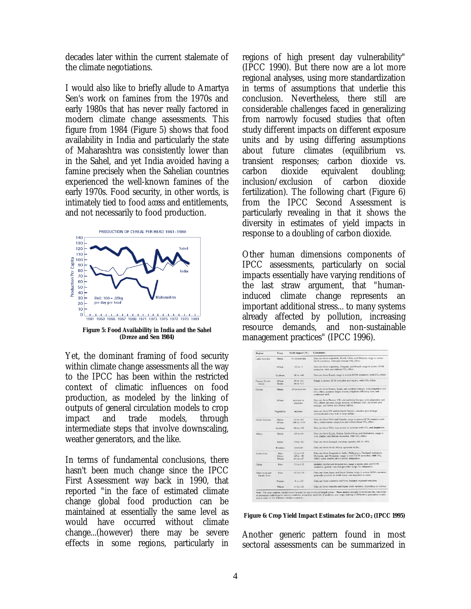decades later within the current stalemate of the climate negotiations.

I would also like to briefly allude to Amartya Sen's work on famines from the 1970s and early 1980s that has never really factored in modern climate change assessments. This figure from 1984 (Figure 5) shows that food availability in India and particularly the state of Maharashtra was consistently lower than in the Sahel, and yet India avoided having a famine precisely when the Sahelian countries experienced the well-known famines of the early 1970s. Food security, in other words, is intimately tied to food *access* and entitlements, and not necessarily to food production.



Yet, the dominant framing of food security within climate change assessments all the way to the IPCC has been within the restricted context of climatic influences on food production, as modeled by the linking of outputs of general circulation models to crop impact and trade models, through intermediate steps that involve downscaling, weather generators, and the like.

In terms of fundamental conclusions, there hasn't been much change since the IPCC First Assessment way back in 1990, that reported "in the face of estimated climate change global food production can be maintained at essentially the same level as would have occurred without climate change...(however) there may be severe effects in some regions, particularly in

regions of high present day vulnerability" (IPCC 1990). But there now are a lot more regional analyses, using more standardization in terms of assumptions that underlie this conclusion. Nevertheless, there still are considerable challenges faced in generalizing from narrowly focused studies that often study different impacts on different exposure units and by using differing assumptions about future climates (equilibrium vs. transient responses; carbon dioxide vs. carbon dioxide equivalent doubling; inclusion/exclusion of carbon dioxide fertilization). The following chart (Figure 6) from the IPCC Second Assessment is particularly revealing in that it shows the diversity in estimates of yield impacts in response to a doubling of carbon dioxide.

Other human dimensions components of IPCC assessments, particularly on social impacts essentially have varying renditions of the last straw argument, that "humaninduced climate change represents an important additional stress... to many systems already affected by pollution, increasing resource demands, and non-sustainable management practices" (IPCC 1996).

| Region                        | Crop                   | Yield Impact (%)                                   | <b>Comments</b>                                                                                                                                                                                  |
|-------------------------------|------------------------|----------------------------------------------------|--------------------------------------------------------------------------------------------------------------------------------------------------------------------------------------------------|
| Latin America                 | Maize                  | -61 to increase                                    | Data are from Argentina, Brazil, Chile, and Mexico; range is across<br>GCM scenarios, with and without CO2 effect.                                                                               |
|                               | Wheat                  | $-50$ to $-5$                                      | Data are from Argentina, Uruguay, and Brazil; range is across GCM<br>scenarios, with and without CO <sub>2</sub> effect.                                                                         |
|                               | Soybean                | $-10$ to $+40$                                     | Data are from Brazil; range is across GCM scenarios, with CO <sub>2</sub> effect.                                                                                                                |
| Former Soviet<br>Union        | Wheat<br>Grain         | $-19.10 + 41$<br>$-14 to +13$                      | Range is across GCM scenarios and region, with CO <sub>2</sub> effect.                                                                                                                           |
| Europe                        | Maizo                  | -30 to increase.                                   | Data are from France, Spain, and northern Europe; with adaptation and<br>CO <sub>2</sub> effect; assumes longer season, irrigation efficiency loss, and<br>northward shift.                      |
|                               | Wheat                  | increase or<br>decrease.                           | Data are from France, UK, and northern Europe; with adaptation and<br>CO <sub>2</sub> effect; assumes longer season, northward shift, increased pest<br>damage, and lower risk of crop failure.  |
|                               | Vegetables             | increase                                           | Data are from UK and northern Europe; assumes pest damage<br>increased and lower risk of crop failure.                                                                                           |
| North America                 | Maize<br>Wheat         | $-55$ to $+62$<br>$-100$ to $+234$                 | Data are from USA and Canada; range is across GCM scenarios and<br>sites, with/without adaptation and with/without CO2 effect.                                                                   |
|                               | Soybean                | $-96$ to $+58$                                     | Data are from USA; less severe or increase with CO <sub>2</sub> and adaptation.                                                                                                                  |
| Africa                        | Maize                  | $-65$ to $+6$                                      | Data are from Egypt, Kenya, South Africa, and Zimbabwe; range is<br>over studies and climate scenarios, with CO <sub>2</sub> effect.                                                             |
|                               | Millet                 | $-79.10 - 63$                                      | Data are from Senegal; carrying capacity fell 11-38%.                                                                                                                                            |
|                               | <b>Biomass</b>         | decrease.                                          | Data are from South Africa; agrozone shifts.                                                                                                                                                     |
| South Asia                    | Rico<br>Maize<br>Wheat | $-22$ to $+28$<br>$-65$ to $-10$<br>$-61$ to $+67$ | Data are from Bangladesh, India, Philippines, Thailand, Indonesia,<br>Malaysia, and Myanmar; range is over GCM scenarios, with CO <sub>2</sub><br>effect; some studies also consider adaptation. |
| China                         | <b>Rice</b>            | $-78$ to $+28$                                     | Includes rainfed and irrigated rice; range is across sites and GCM<br>scenarios; genetic variation provides scope for adaptation.                                                                |
| Other Asia and<br>Pacific Rim | Rice                   | $-45$ to $+30$                                     | Data are from Japan and South Korea; range is across GCM scenarios;<br>generally positive in north Japan, and negative in south.                                                                 |
|                               | Pasture                | $-110+35$                                          | Data are from Australia and New Zealand; regional variation.                                                                                                                                     |
|                               | Wheat                  | $-41$ to $+65$                                     | Data are from Australia and Japan; wide variation, depending on cultivar.                                                                                                                        |

**Figure 6: Crop Yield Impact Estimates for 2xCO<sub>2</sub> (IPCC 1995)** 

Another generic pattern found in most sectoral assessments can be summarized in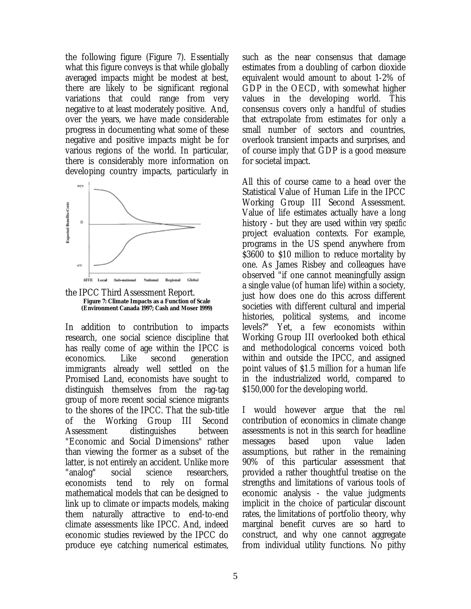the following figure (Figure 7). Essentially what this figure conveys is that while globally averaged impacts might be modest at best, there are likely to be significant regional variations that could range from very negative to at least moderately positive. And, over the years, we have made considerable progress in documenting what some of these negative and positive impacts might be for various regions of the world. In particular, there is considerably more information on developing country impacts, particularly in



the IPCC Third Assessment Report. **Figure 7: Climate Impacts as a Function of Scale (Environment Canada 1997; Cash and Moser 1999)**

In addition to contribution to impacts research, one social science discipline that has really come of age within the IPCC is economics. Like second generation immigrants already well settled on the Promised Land, economists have sought to distinguish themselves from the rag-tag group of more recent social science migrants to the shores of the IPCC. That the sub-title of the Working Group III Second Assessment distinguishes between "Economic and Social Dimensions" rather than viewing the former as a subset of the latter, is not entirely an accident. Unlike more "analog" social science researchers, economists tend to rely on formal mathematical models that can be designed to link up to climate or impacts models, making them naturally attractive to end-to-end climate assessments like IPCC. And, indeed economic studies reviewed by the IPCC do produce eye catching numerical estimates,

such as the near consensus that damage estimates from a doubling of carbon dioxide equivalent would amount to about 1-2% of GDP in the OECD, with somewhat higher values in the developing world. This consensus covers only a handful of studies that extrapolate from estimates for only a small number of sectors and countries, overlook transient impacts and surprises, and of course imply that GDP is a good measure for societal impact.

All this of course came to a head over the Statistical Value of Human Life in the IPCC Working Group III Second Assessment. Value of life estimates actually have a long history - but they are used within *very specific* project evaluation contexts. For example, programs in the US spend anywhere from \$3600 to \$10 million to reduce mortality by one. As James Risbey and colleagues have observed "if one cannot meaningfully assign a single value (of human life) within a society, just how does one do this across different societies with different cultural and imperial histories, political systems, and income levels?" Yet, a few economists within Working Group III overlooked both ethical and methodological concerns voiced both within and outside the IPCC, and assigned point values of \$1.5 million for a human life in the industrialized world, compared to \$150,000 for the developing world.

I would however argue that the *real*  contribution of economics in climate change assessments is not in this search for headline messages based upon value laden assumptions, but rather in the remaining 90% of this particular assessment that provided a rather thoughtful treatise on the strengths and limitations of various tools of economic analysis - the value judgments implicit in the choice of particular discount rates, the limitations of portfolio theory, why marginal benefit curves are so hard to construct, and why one cannot aggregate from individual utility functions. No pithy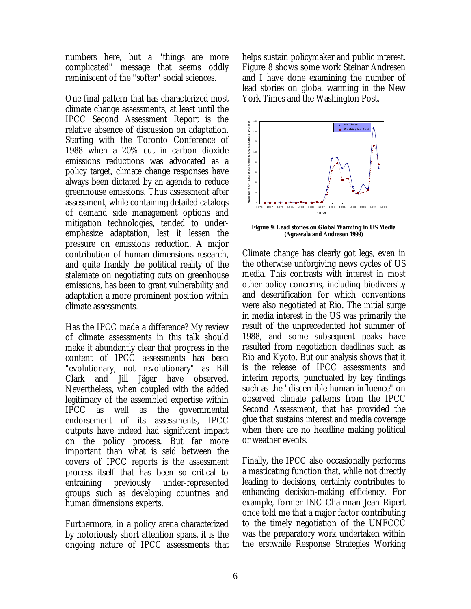numbers here, but a "things are more complicated" message that seems oddly reminiscent of the "softer" social sciences.

One final pattern that has characterized most climate change assessments, at least until the IPCC Second Assessment Report is the relative absence of discussion on adaptation. Starting with the Toronto Conference of 1988 when a 20% cut in carbon dioxide emissions reductions was advocated as a policy target, climate change responses have always been dictated by an agenda to reduce greenhouse emissions. Thus assessment after assessment, while containing detailed catalogs of demand side management options and mitigation technologies, tended to underemphasize adaptation, lest it lessen the pressure on emissions reduction. A major contribution of human dimensions research, and quite frankly the political reality of the stalemate on negotiating cuts on greenhouse emissions, has been to grant vulnerability and adaptation a more prominent position within climate assessments.

Has the IPCC made a difference? My review of climate assessments in this talk should make it abundantly clear that progress in the content of IPCC assessments has been "evolutionary, not revolutionary" as Bill Clark and Jill Jäger have observed. Nevertheless, when coupled with the added legitimacy of the assembled expertise within IPCC as well as the governmental endorsement of its assessments, IPCC outputs have indeed had significant impact on the policy process. But far more important than what is said between the covers of IPCC reports is the assessment process itself that has been so critical to entraining previously under-represented groups such as developing countries and human dimensions experts.

Furthermore, in a policy arena characterized by notoriously short attention spans, it is the ongoing nature of IPCC assessments that helps sustain policymaker and public interest. Figure 8 shows some work Steinar Andresen and I have done examining the number of lead stories on global warming in the New York Times and the Washington Post.



**Figure 9: Lead stories on Global Warming in US Media (Agrawala and Andresen 1999)**

Climate change has clearly got legs, even in the otherwise unforgiving news cycles of US media. This contrasts with interest in most other policy concerns, including biodiversity and desertification for which conventions were also negotiated at Rio. The initial surge in media interest in the US was primarily the result of the unprecedented hot summer of 1988, and some subsequent peaks have resulted from negotiation deadlines such as Rio and Kyoto. But our analysis shows that it is the release of IPCC assessments and interim reports, punctuated by key findings such as the "discernible human influence" on observed climate patterns from the IPCC Second Assessment, that has provided the glue that sustains interest and media coverage when there are no headline making political or weather events.

Finally, the IPCC also occasionally performs a masticating function that, while not directly leading to decisions, certainly contributes to enhancing decision-making efficiency. For example, former INC Chairman Jean Ripert once told me that a major factor contributing to the timely negotiation of the UNFCCC was the preparatory work undertaken within the erstwhile Response Strategies Working